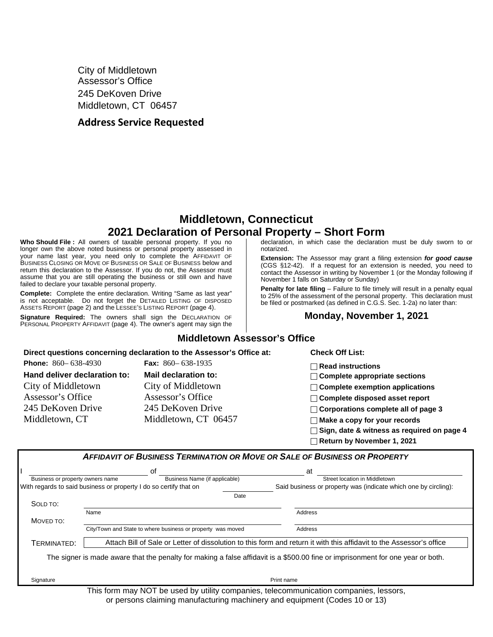City of Middletown Assessor's Office 245 DeKoven Drive Middletown, CT 06457

### **Address Service Requested**

# **Middletown, Connecticut 2021 Declaration of Personal Property – Short Form**

**Who Should File :** All owners of taxable personal property. If you no longer own the above noted business or personal property assessed in your name last year, you need only to complete the AFFIDAVIT OF BUSINESS CLOSING OR MOVE OF BUSINESS OR SALE OF BUSINESS below and return this declaration to the Assessor. If you do not, the Assessor must assume that you are still operating the business or still own and have failed to declare your taxable personal property.

**Complete:** Complete the entire declaration. Writing "Same as last year" is not acceptable. Do not forget the DETAILED LISTING OF DISPOSED ASSETS REPORT (page 2) and the LESSEE'S LISTING REPORT (page 4).

**Signature Required:** The owners shall sign the DECLARATION OF PERSONAL PROPERTY AFFIDAVIT (page 4). The owner's agent may sign the declaration, in which case the declaration must be duly sworn to or notarized.

**Extension:** The Assessor may grant a filing extension *for good cause* (CGS §12-42). If a request for an extension is needed, you need to contact the Assessor in writing by November 1 (or the Monday following if November 1 falls on Saturday or Sunday)

**Penalty for late filing** – Failure to file timely will result in a penalty equal to 25% of the assessment of the personal property. This declaration must be filed or postmarked (as defined in C.G.S. Sec. 1-2a) no later than:

#### **Monday, November 1, 2021**

|                                                                                                                                                    | Direct questions concerning declaration to the Assessor's Office at:                                                                           | <b>Check Off List:</b>                                                                                                                                                                                                                                                                                                   |
|----------------------------------------------------------------------------------------------------------------------------------------------------|------------------------------------------------------------------------------------------------------------------------------------------------|--------------------------------------------------------------------------------------------------------------------------------------------------------------------------------------------------------------------------------------------------------------------------------------------------------------------------|
| <b>Phone:</b> $860 - 638 - 4930$<br>Hand deliver declaration to:<br>City of Middletown<br>Assessor's Office<br>245 DeKoven Drive<br>Middletown, CT | <b>Fax:</b> $860 - 638 - 1935$<br>Mail declaration to:<br>City of Middletown<br>Assessor's Office<br>245 DeKoven Drive<br>Middletown, CT 06457 | $\sqcap$ Read instructions<br>$\Box$ Complete appropriate sections<br>$\sqcap$ Complete exemption applications<br>$\Box$ Complete disposed asset report<br>$\Box$ Corporations complete all of page 3<br>$\Box$ Make a copy for your records<br>Sign, date & witness as required on page 4<br>Return by November 1, 2021 |
| Business or property owners name                                                                                                                   | οf<br>Business Name (if applicable)                                                                                                            | <b>AFFIDAVIT OF BUSINESS TERMINATION OR MOVE OR SALE OF BUSINESS OR PROPERTY</b><br>at<br>Street location in Middletown                                                                                                                                                                                                  |
| With regards to said business or property I do so certify that on                                                                                  | Date                                                                                                                                           | Said business or property was (indicate which one by circling):                                                                                                                                                                                                                                                          |
| SOLD TO:                                                                                                                                           |                                                                                                                                                |                                                                                                                                                                                                                                                                                                                          |

**Middletown Assessor's Office**

TERMINATED: Attach Bill of Sale or Letter of dissolution to this form and return it with this affidavit to the Assessor's office

Name Address and the Contract of the Contract of the Contract of the Address and Address and Address and Address

City/Town and State to where business or property was moved Address

The signer is made aware that the penalty for making a false affidavit is a \$500.00 fine or imprisonment for one year or both.

Signature Print name (Print name is a state of the control of the control of the control of the control of the control of the control of the control of the control of the control of the control of the control of the contro

MOVED TO:

This form may NOT be used by utility companies, telecommunication companies, lessors, or persons claiming manufacturing machinery and equipment (Codes 10 or 13)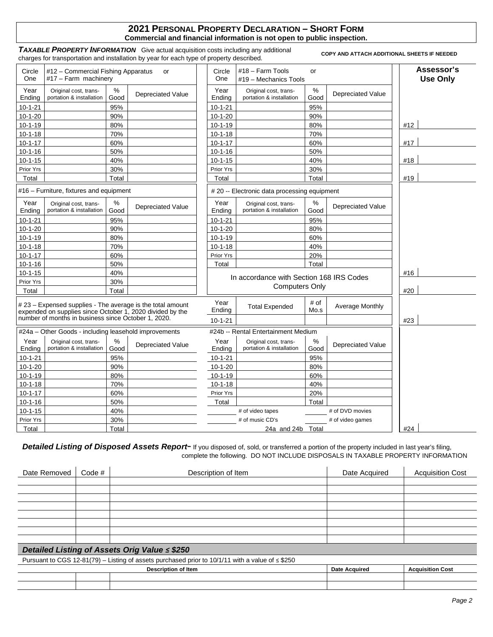#### **2021 PERSONAL PROPERTY DECLARATION – SHORT FORM Commercial and financial information is not open to public inspection.**

**TAXABLE PROPERTY INFORMATION** Give actual acquisition costs including any additional I AXABLE PROPERTY INFORMATION Give actual acquisition costs including any additional copy AND ATTACH ADDITIONAL SHEETS IF NEEDED charges for transportation and installation by year for each type of property described.

| Circle<br>One  | #12 – Commercial Fishing Apparatus<br>#17 - Farm machinery                                                              |              | <b>or</b>                | Circle<br>One  | #18 - Farm Tools<br>#19 - Mechanics Tools         | or           |                          | Assessor's<br><b>Use Only</b> |
|----------------|-------------------------------------------------------------------------------------------------------------------------|--------------|--------------------------|----------------|---------------------------------------------------|--------------|--------------------------|-------------------------------|
| Year<br>Ending | Original cost, trans-<br>portation & installation                                                                       | ℅<br>Good    | <b>Depreciated Value</b> | Year<br>Ending | Original cost, trans-<br>portation & installation | %<br>Good    | <b>Depreciated Value</b> |                               |
| $10 - 1 - 21$  |                                                                                                                         | 95%          |                          | $10 - 1 - 21$  |                                                   | 95%          |                          |                               |
| $10-1-20$      |                                                                                                                         | 90%          |                          | $10 - 1 - 20$  |                                                   | 90%          |                          |                               |
| $10 - 1 - 19$  |                                                                                                                         | 80%          |                          | $10 - 1 - 19$  |                                                   | 80%          |                          | #12                           |
| $10 - 1 - 18$  |                                                                                                                         | 70%          |                          | $10 - 1 - 18$  |                                                   | 70%          |                          |                               |
| $10 - 1 - 17$  |                                                                                                                         | 60%          |                          | $10 - 1 - 17$  |                                                   | 60%          |                          | #17                           |
| $10 - 1 - 16$  |                                                                                                                         | 50%          |                          | $10 - 1 - 16$  |                                                   | 50%          |                          |                               |
| $10 - 1 - 15$  |                                                                                                                         | 40%          |                          | $10 - 1 - 15$  |                                                   | 40%          |                          | #18                           |
| Prior Yrs      |                                                                                                                         | 30%          |                          | Prior Yrs      |                                                   | 30%          |                          |                               |
| Total          |                                                                                                                         | Total        |                          | Total          |                                                   | Total        |                          | #19                           |
|                | #16 – Furniture, fixtures and equipment                                                                                 |              |                          |                | # 20 -- Electronic data processing equipment      |              |                          |                               |
| Year<br>Ending | Original cost, trans-<br>portation & installation                                                                       | ℅<br>Good    | Depreciated Value        | Year<br>Ending | Original cost, trans-<br>portation & installation | $\%$<br>Good | Depreciated Value        |                               |
| $10 - 1 - 21$  |                                                                                                                         | 95%          |                          | $10 - 1 - 21$  |                                                   | 95%          |                          |                               |
| $10-1-20$      |                                                                                                                         | 90%          |                          | $10 - 1 - 20$  |                                                   | 80%          |                          |                               |
| $10 - 1 - 19$  |                                                                                                                         | 80%          |                          | $10 - 1 - 19$  |                                                   | 60%          |                          |                               |
| $10 - 1 - 18$  |                                                                                                                         | 70%          |                          | $10 - 1 - 18$  |                                                   | 40%          |                          |                               |
| $10 - 1 - 17$  |                                                                                                                         | 60%          |                          | Prior Yrs      |                                                   | 20%          |                          |                               |
| $10 - 1 - 16$  |                                                                                                                         | 50%          |                          | Total          |                                                   | Total        |                          |                               |
| $10 - 1 - 15$  |                                                                                                                         | 40%          |                          |                | In accordance with Section 168 IRS Codes          |              |                          | #16                           |
| Prior Yrs      |                                                                                                                         | 30%          |                          |                | <b>Computers Only</b>                             |              |                          |                               |
| Total          |                                                                                                                         | Total        |                          |                |                                                   |              |                          | #20                           |
|                | # 23 - Expensed supplies - The average is the total amount<br>expended on supplies since October 1, 2020 divided by the |              |                          | Year<br>Ending | <b>Total Expended</b>                             | # of<br>Mo.s | Average Monthly          |                               |
|                | number of months in business since October 1, 2020.                                                                     |              |                          | $10 - 1 - 21$  |                                                   |              |                          | #23                           |
|                | #24a - Other Goods - including leasehold improvements                                                                   |              |                          |                | #24b -- Rental Entertainment Medium               |              |                          |                               |
| Year<br>Ending | Original cost, trans-<br>portation & installation                                                                       | $\%$<br>Good | <b>Depreciated Value</b> | Year<br>Ending | Original cost, trans-<br>portation & installation | %<br>Good    | <b>Depreciated Value</b> |                               |
| $10 - 1 - 21$  |                                                                                                                         | 95%          |                          | $10 - 1 - 21$  |                                                   | 95%          |                          |                               |
| $10 - 1 - 20$  |                                                                                                                         | 90%          |                          | $10 - 1 - 20$  |                                                   | 80%          |                          |                               |
| $10 - 1 - 19$  |                                                                                                                         | 80%          |                          | $10 - 1 - 19$  |                                                   | 60%          |                          |                               |
| $10 - 1 - 18$  |                                                                                                                         | 70%          |                          | $10 - 1 - 18$  |                                                   | 40%          |                          |                               |
| $10 - 1 - 17$  |                                                                                                                         | 60%          |                          | Prior Yrs      |                                                   | 20%          |                          |                               |
| $10 - 1 - 16$  |                                                                                                                         | 50%          |                          | Total          |                                                   | Total        |                          |                               |
| $10 - 1 - 15$  |                                                                                                                         | 40%          |                          |                | # of video tapes                                  |              | # of DVD movies          |                               |
| Prior Yrs      |                                                                                                                         | 30%          |                          |                | # of music CD's                                   |              | # of video games         |                               |
| Total          |                                                                                                                         | Total        |                          |                | 24a and 24b Total                                 |              |                          | #24                           |

Detailed Listing of Disposed Assets Report- If you disposed of, sold, or transferred a portion of the property included in last year's filing, complete the following. DO NOT INCLUDE DISPOSALS IN TAXABLE PROPERTY INFORMATION

| Date Removed                                                                                          | Code $#$ | Description of Item        | Date Acquired        | <b>Acquisition Cost</b> |  |  |
|-------------------------------------------------------------------------------------------------------|----------|----------------------------|----------------------|-------------------------|--|--|
|                                                                                                       |          |                            |                      |                         |  |  |
|                                                                                                       |          |                            |                      |                         |  |  |
|                                                                                                       |          |                            |                      |                         |  |  |
|                                                                                                       |          |                            |                      |                         |  |  |
|                                                                                                       |          |                            |                      |                         |  |  |
|                                                                                                       |          |                            |                      |                         |  |  |
|                                                                                                       |          |                            |                      |                         |  |  |
|                                                                                                       |          |                            |                      |                         |  |  |
| Detailed Listing of Assets Orig Value ≤ \$250                                                         |          |                            |                      |                         |  |  |
| Pursuant to CGS 12-81(79) – Listing of assets purchased prior to 10/1/11 with a value of $\leq$ \$250 |          |                            |                      |                         |  |  |
|                                                                                                       |          | <b>Description of Item</b> | <b>Date Acquired</b> | <b>Acquisition Cost</b> |  |  |
|                                                                                                       |          |                            |                      |                         |  |  |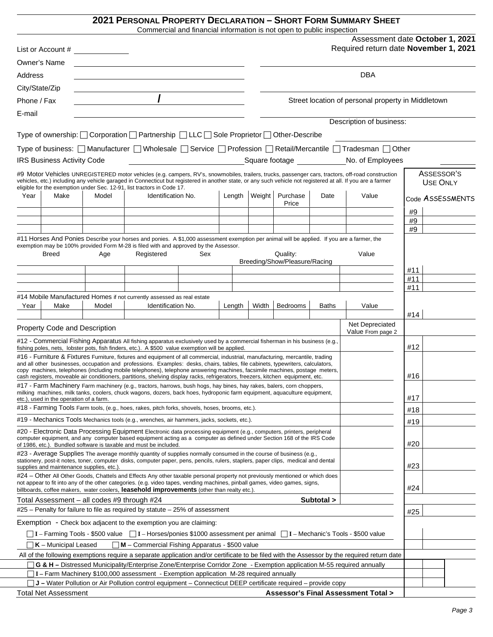## **2021 PERSONAL PROPERTY DECLARATION – SHORT FORM SUMMARY SHEET**

Commercial and financial information is not open to public inspection

|                                                                                                                                                                                                                                                                                                                      |                                   |       | Commercial and miancial imormation is not open to public inspection                                                                                                                                                                                                                                                                                              |     |        |     |                               |              |                                                                                                                                                   |            |                               |
|----------------------------------------------------------------------------------------------------------------------------------------------------------------------------------------------------------------------------------------------------------------------------------------------------------------------|-----------------------------------|-------|------------------------------------------------------------------------------------------------------------------------------------------------------------------------------------------------------------------------------------------------------------------------------------------------------------------------------------------------------------------|-----|--------|-----|-------------------------------|--------------|---------------------------------------------------------------------------------------------------------------------------------------------------|------------|-------------------------------|
|                                                                                                                                                                                                                                                                                                                      | List or Account # ______________  |       |                                                                                                                                                                                                                                                                                                                                                                  |     |        |     |                               |              | Assessment date October 1, 2021<br>Required return date November 1, 2021                                                                          |            |                               |
|                                                                                                                                                                                                                                                                                                                      | Owner's Name                      |       |                                                                                                                                                                                                                                                                                                                                                                  |     |        |     |                               |              |                                                                                                                                                   |            |                               |
| Address                                                                                                                                                                                                                                                                                                              |                                   |       |                                                                                                                                                                                                                                                                                                                                                                  |     |        |     |                               |              | <b>DBA</b>                                                                                                                                        |            |                               |
| City/State/Zip                                                                                                                                                                                                                                                                                                       |                                   |       |                                                                                                                                                                                                                                                                                                                                                                  |     |        |     |                               |              |                                                                                                                                                   |            |                               |
| Phone / Fax                                                                                                                                                                                                                                                                                                          |                                   |       | $\overline{I}$                                                                                                                                                                                                                                                                                                                                                   |     |        |     |                               |              | Street location of personal property in Middletown                                                                                                |            |                               |
|                                                                                                                                                                                                                                                                                                                      |                                   |       |                                                                                                                                                                                                                                                                                                                                                                  |     |        |     |                               |              |                                                                                                                                                   |            |                               |
| E-mail                                                                                                                                                                                                                                                                                                               |                                   |       |                                                                                                                                                                                                                                                                                                                                                                  |     |        |     |                               |              | Description of business:                                                                                                                          |            |                               |
|                                                                                                                                                                                                                                                                                                                      |                                   |       | Type of ownership: $\Box$ Corporation $\Box$ Partnership $\Box$ LLC $\Box$ Sole Proprietor $\Box$ Other-Describe                                                                                                                                                                                                                                                 |     |        |     |                               |              |                                                                                                                                                   |            |                               |
|                                                                                                                                                                                                                                                                                                                      |                                   |       |                                                                                                                                                                                                                                                                                                                                                                  |     |        |     |                               |              |                                                                                                                                                   |            |                               |
|                                                                                                                                                                                                                                                                                                                      |                                   |       |                                                                                                                                                                                                                                                                                                                                                                  |     |        |     |                               |              | Type of business: [ Manufacturer   Wholesale   Service   Profession   Retail/Mercantile   Tradesman   Other                                       |            |                               |
|                                                                                                                                                                                                                                                                                                                      | <b>IRS Business Activity Code</b> |       | <u> 1990 - Johann Barbara, martin d</u>                                                                                                                                                                                                                                                                                                                          |     |        |     |                               |              | Square footage Mo. of Employees                                                                                                                   |            |                               |
|                                                                                                                                                                                                                                                                                                                      |                                   |       | vehicles, etc.) including any vehicle garaged in Connecticut but registered in another state, or any such vehicle not registered at all. If you are a farmer<br>eligible for the exemption under Sec. 12-91, list tractors in Code 17.                                                                                                                           |     |        |     |                               |              | #9 Motor Vehicles UNREGISTERED motor vehicles (e.g. campers, RV's, snowmobiles, trailers, trucks, passenger cars, tractors, off-road construction |            | ASSESSOR'S<br><b>USE ONLY</b> |
| Year                                                                                                                                                                                                                                                                                                                 | Make                              | Model | <b>Identification No.</b>                                                                                                                                                                                                                                                                                                                                        |     | Length |     | Weight Purchase               | Date         | Value                                                                                                                                             |            | Code ASSESSMENTS              |
|                                                                                                                                                                                                                                                                                                                      |                                   |       |                                                                                                                                                                                                                                                                                                                                                                  |     |        |     | Price                         |              |                                                                                                                                                   | #9         |                               |
|                                                                                                                                                                                                                                                                                                                      |                                   |       |                                                                                                                                                                                                                                                                                                                                                                  |     |        |     |                               |              |                                                                                                                                                   | #9         |                               |
|                                                                                                                                                                                                                                                                                                                      |                                   |       |                                                                                                                                                                                                                                                                                                                                                                  |     |        |     |                               |              |                                                                                                                                                   | #9         |                               |
|                                                                                                                                                                                                                                                                                                                      |                                   |       | #11 Horses And Ponies Describe your horses and ponies. A \$1,000 assessment exemption per animal will be applied. If you are a farmer, the<br>exemption may be 100% provided Form M-28 is filed with and approved by the Assessor.                                                                                                                               |     |        |     |                               |              |                                                                                                                                                   |            |                               |
|                                                                                                                                                                                                                                                                                                                      | <b>Breed</b>                      | Age   | Registered                                                                                                                                                                                                                                                                                                                                                       | Sex |        |     | Quality:                      |              | Value                                                                                                                                             |            |                               |
|                                                                                                                                                                                                                                                                                                                      |                                   |       |                                                                                                                                                                                                                                                                                                                                                                  |     |        |     | Breeding/Show/Pleasure/Racing |              |                                                                                                                                                   |            |                               |
|                                                                                                                                                                                                                                                                                                                      |                                   |       |                                                                                                                                                                                                                                                                                                                                                                  |     |        |     |                               |              |                                                                                                                                                   | #11        |                               |
|                                                                                                                                                                                                                                                                                                                      |                                   |       |                                                                                                                                                                                                                                                                                                                                                                  |     |        |     |                               |              |                                                                                                                                                   | #11<br>#11 |                               |
|                                                                                                                                                                                                                                                                                                                      |                                   |       | #14 Mobile Manufactured Homes if not currently assessed as real estate                                                                                                                                                                                                                                                                                           |     |        |     |                               |              |                                                                                                                                                   |            |                               |
| Year                                                                                                                                                                                                                                                                                                                 | Make                              | Model | Identification No.                                                                                                                                                                                                                                                                                                                                               |     | Length |     | Width   Bedrooms              | <b>Baths</b> | Value                                                                                                                                             | #14        |                               |
|                                                                                                                                                                                                                                                                                                                      |                                   |       |                                                                                                                                                                                                                                                                                                                                                                  |     |        |     |                               |              | Net Depreciated                                                                                                                                   |            |                               |
|                                                                                                                                                                                                                                                                                                                      | Property Code and Description     |       |                                                                                                                                                                                                                                                                                                                                                                  |     |        |     |                               |              | Value From page 2                                                                                                                                 |            |                               |
|                                                                                                                                                                                                                                                                                                                      |                                   |       | #12 - Commercial Fishing Apparatus All fishing apparatus exclusively used by a commercial fisherman in his business (e.g.,<br>fishing poles, nets, lobster pots, fish finders, etc.). A \$500 value exemption will be applied.                                                                                                                                   |     |        |     |                               |              |                                                                                                                                                   | #12        |                               |
|                                                                                                                                                                                                                                                                                                                      |                                   |       | #16 - Furniture & Fixtures Furniture, fixtures and equipment of all commercial, industrial, manufacturing, mercantile, trading                                                                                                                                                                                                                                   |     |        |     |                               |              |                                                                                                                                                   |            |                               |
|                                                                                                                                                                                                                                                                                                                      |                                   |       | and all other businesses, occupation and professions. Examples: desks, chairs, tables, file cabinets, typewriters, calculators,<br>copy machines, telephones (including mobile telephones), telephone answering machines, facsimile machines, postage meters,                                                                                                    |     |        |     |                               |              |                                                                                                                                                   |            |                               |
|                                                                                                                                                                                                                                                                                                                      |                                   |       | cash registers, moveable air conditioners, partitions, shelving display racks, refrigerators, freezers, kitchen equipment, etc.                                                                                                                                                                                                                                  |     |        |     |                               |              |                                                                                                                                                   | #16        |                               |
|                                                                                                                                                                                                                                                                                                                      |                                   |       | #17 - Farm Machinery Farm machinery (e.g., tractors, harrows, bush hogs, hay bines, hay rakes, balers, corn choppers,                                                                                                                                                                                                                                            |     |        |     |                               |              |                                                                                                                                                   |            |                               |
| milking machines, milk tanks, coolers, chuck wagons, dozers, back hoes, hydroponic farm equipment, aquaculture equipment,<br>etc.), used in the operation of a farm.                                                                                                                                                 |                                   |       |                                                                                                                                                                                                                                                                                                                                                                  |     |        |     | #17                           |              |                                                                                                                                                   |            |                               |
| #18 - Farming Tools Farm tools, (e.g., hoes, rakes, pitch forks, shovels, hoses, brooms, etc.).                                                                                                                                                                                                                      |                                   |       |                                                                                                                                                                                                                                                                                                                                                                  |     |        |     | #18                           |              |                                                                                                                                                   |            |                               |
|                                                                                                                                                                                                                                                                                                                      |                                   |       | #19 - Mechanics Tools Mechanics tools (e.g., wrenches, air hammers, jacks, sockets, etc.).                                                                                                                                                                                                                                                                       |     |        |     |                               |              |                                                                                                                                                   | #19        |                               |
| #20 - Electronic Data Processing Equipment Electronic data processing equipment (e.g., computers, printers, peripheral<br>computer equipment, and any computer based equipment acting as a computer as defined under Section 168 of the IRS Code<br>of 1986, etc.). Bundled software is taxable and must be included |                                   |       |                                                                                                                                                                                                                                                                                                                                                                  |     |        | #20 |                               |              |                                                                                                                                                   |            |                               |
| #23 - Average Supplies The average monthly quantity of supplies normally consumed in the course of business (e.g.,<br>stationery, post-it notes, toner, computer disks, computer paper, pens, pencils, rulers, staplers, paper clips, medical and dental<br>supplies and maintenance supplies, etc.).                |                                   |       |                                                                                                                                                                                                                                                                                                                                                                  |     |        | #23 |                               |              |                                                                                                                                                   |            |                               |
|                                                                                                                                                                                                                                                                                                                      |                                   |       | #24 – Other All Other Goods, Chattels and Effects Any other taxable personal property not previously mentioned or which does<br>not appear to fit into any of the other categories. (e.g. video tapes, vending machines, pinball games, video games, signs,<br>billboards, coffee makers, water coolers, <b>leasehold improvements</b> (other than realty etc.). |     |        |     |                               |              |                                                                                                                                                   | #24        |                               |
|                                                                                                                                                                                                                                                                                                                      |                                   |       |                                                                                                                                                                                                                                                                                                                                                                  |     |        |     |                               | Subtotal >   |                                                                                                                                                   |            |                               |
| Total Assessment - all codes #9 through #24<br>$#25$ – Penalty for failure to file as required by statute – 25% of assessment                                                                                                                                                                                        |                                   |       |                                                                                                                                                                                                                                                                                                                                                                  |     |        |     |                               |              |                                                                                                                                                   |            |                               |
|                                                                                                                                                                                                                                                                                                                      |                                   |       | Exemption - Check box adjacent to the exemption you are claiming:                                                                                                                                                                                                                                                                                                |     |        |     |                               |              |                                                                                                                                                   | #25        |                               |
|                                                                                                                                                                                                                                                                                                                      |                                   |       |                                                                                                                                                                                                                                                                                                                                                                  |     |        |     |                               |              |                                                                                                                                                   |            |                               |
|                                                                                                                                                                                                                                                                                                                      |                                   |       | _ I – Farming Tools - \$500 value = _ I – Horses/ponies \$1000 assessment per animal = _ I – Mechanic's Tools - \$500 value                                                                                                                                                                                                                                      |     |        |     |                               |              |                                                                                                                                                   |            |                               |
|                                                                                                                                                                                                                                                                                                                      | $K$ – Municipal Leased            |       | M - Commercial Fishing Apparatus - \$500 value                                                                                                                                                                                                                                                                                                                   |     |        |     |                               |              | All of the following exemptions require a separate application and/or certificate to be filed with the Assessor by the required return date       |            |                               |
|                                                                                                                                                                                                                                                                                                                      |                                   |       | □ G & H – Distressed Municipality/Enterprise Zone/Enterprise Corridor Zone - Exemption application M-55 required annually                                                                                                                                                                                                                                        |     |        |     |                               |              |                                                                                                                                                   |            |                               |
|                                                                                                                                                                                                                                                                                                                      |                                   |       | □ I – Farm Machinery \$100,000 assessment - Exemption application M-28 required annually                                                                                                                                                                                                                                                                         |     |        |     |                               |              |                                                                                                                                                   |            |                               |
|                                                                                                                                                                                                                                                                                                                      |                                   |       | $\Box$ J – Water Pollution or Air Pollution control equipment – Connecticut DEEP certificate required – provide copy                                                                                                                                                                                                                                             |     |        |     |                               |              |                                                                                                                                                   |            |                               |
| <b>Assessor's Final Assessment Total &gt;</b><br>Total Net Assessment                                                                                                                                                                                                                                                |                                   |       |                                                                                                                                                                                                                                                                                                                                                                  |     |        |     |                               |              |                                                                                                                                                   |            |                               |